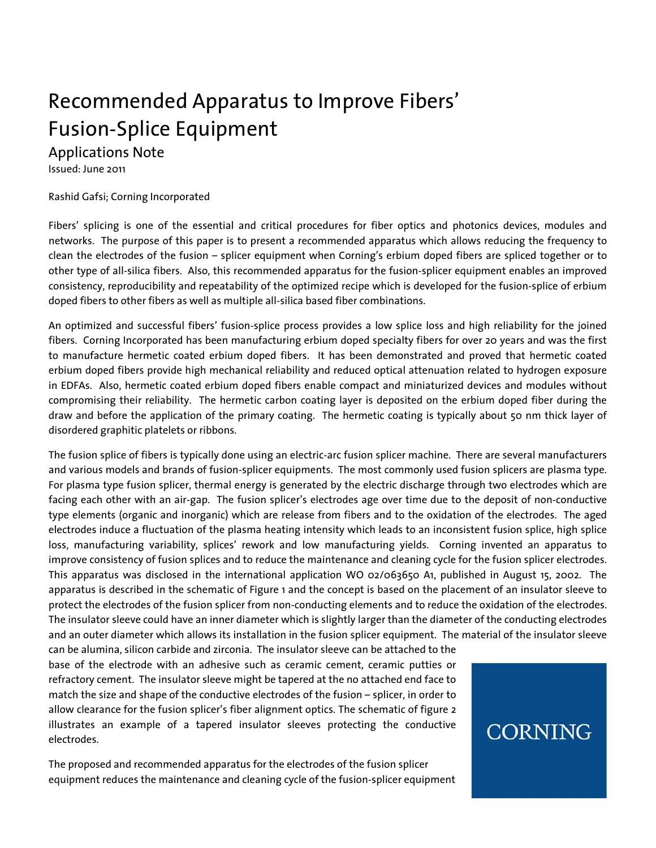# Recommended Apparatus to Improve Fibers' Fusion-Splice Equipment

### Applications Note

Issued: June 2011

#### Rashid Gafsi; Corning Incorporated

Fibers' splicing is one of the essential and critical procedures for fiber optics and photonics devices, modules and networks. The purpose of this paper is to present a recommended apparatus which allows reducing the frequency to clean the electrodes of the fusion – splicer equipment when Corning's erbium doped fibers are spliced together or to other type of all-silica fibers. Also, this recommended apparatus for the fusion-splicer equipment enables an improved consistency, reproducibility and repeatability of the optimized recipe which is developed for the fusion-splice of erbium doped fibers to other fibers as well as multiple all-silica based fiber combinations.

An optimized and successful fibers' fusion-splice process provides a low splice loss and high reliability for the joined fibers. Corning Incorporated has been manufacturing erbium doped specialty fibers for over 20 years and was the first to manufacture hermetic coated erbium doped fibers. It has been demonstrated and proved that hermetic coated erbium doped fibers provide high mechanical reliability and reduced optical attenuation related to hydrogen exposure in EDFAs. Also, hermetic coated erbium doped fibers enable compact and miniaturized devices and modules without compromising their reliability. The hermetic carbon coating layer is deposited on the erbium doped fiber during the draw and before the application of the primary coating. The hermetic coating is typically about 50 nm thick layer of disordered graphitic platelets or ribbons.

The fusion splice of fibers is typically done using an electric-arc fusion splicer machine. There are several manufacturers and various models and brands of fusion-splicer equipments. The most commonly used fusion splicers are plasma type. For plasma type fusion splicer, thermal energy is generated by the electric discharge through two electrodes which are facing each other with an air-gap. The fusion splicer's electrodes age over time due to the deposit of non-conductive type elements (organic and inorganic) which are release from fibers and to the oxidation of the electrodes. The aged electrodes induce a fluctuation of the plasma heating intensity which leads to an inconsistent fusion splice, high splice loss, manufacturing variability, splices' rework and low manufacturing yields. Corning invented an apparatus to improve consistency of fusion splices and to reduce the maintenance and cleaning cycle for the fusion splicer electrodes. This apparatus was disclosed in the international application WO 02/063650 A1, published in August 15, 2002. The apparatus is described in the schematic of Figure 1 and the concept is based on the placement of an insulator sleeve to protect the electrodes of the fusion splicer from non-conducting elements and to reduce the oxidation of the electrodes. The insulator sleeve could have an inner diameter which is slightly larger than the diameter of the conducting electrodes and an outer diameter which allows its installation in the fusion splicer equipment. The material of the insulator sleeve

can be alumina, silicon carbide and zirconia. The insulator sleeve can be attached to the base of the electrode with an adhesive such as ceramic cement, ceramic putties or refractory cement. The insulator sleeve might be tapered at the no attached end face to match the size and shape of the conductive electrodes of the fusion – splicer, in order to allow clearance for the fusion splicer's fiber alignment optics. The schematic of figure 2 illustrates an example of a tapered insulator sleeves protecting the conductive electrodes.

The proposed and recommended apparatus for the electrodes of the fusion splicer equipment reduces the maintenance and cleaning cycle of the fusion-splicer equipment

## CORNING